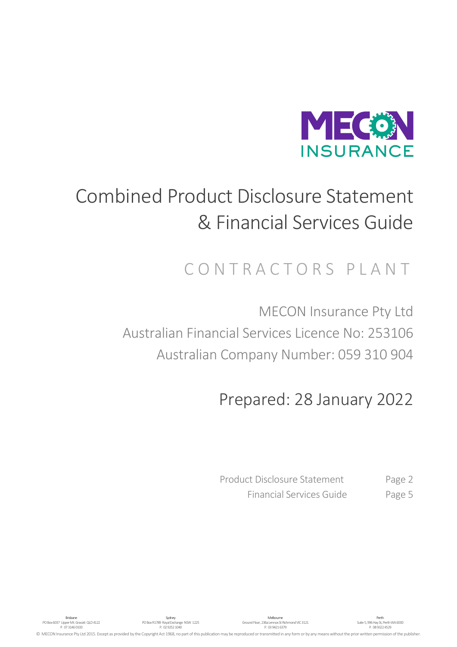

# Combined Product Disclosure Statement & Financial Services Guide

# CONTRACTORS PLANT

MECON Insurance Pty Ltd Australian Financial Services Licence No: 253106 Australian Company Number: 059 310 904

# Prepared: 28 January 2022

Product Disclosure Statement Page 2 Financial Services Guide Page 5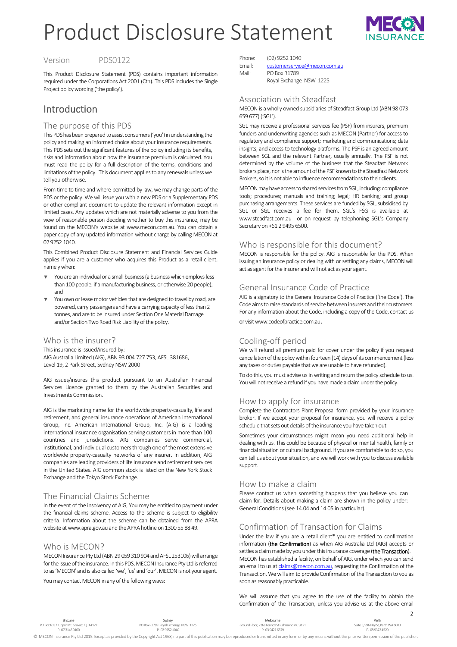# Product Disclosure Statement



Version PDS0122

This Product Disclosure Statement (PDS) contains important information required under the Corporations Act 2001 (Cth). This PDS includes the Single Project policy wording ('the policy').

# Introduction

# The purpose of this PDS

This PDS has been prepared to assist consumers ('you') in understanding the policy and making an informed choice about your insurance requirements. This PDS sets out the significant features of the policy including its benefits, risks and information about how the insurance premium is calculated. You must read the policy for a full description of the terms, conditions and limitations of the policy. This document applies to any renewals unless we tell you otherwise.

From time to time and where permitted by law, we may change parts of the PDS or the policy. We will issue you with a new PDS or a Supplementary PDS or other compliant document to update the relevant information except in limited cases. Any updates which are not materially adverse to you from the view of reasonable person deciding whether to buy this insurance, may be found on the MECON's website at www.mecon.com.au. You can obtain a paper copy of any updated information without charge by calling MECON at 02 9252 1040.

This Combined Product Disclosure Statement and Financial Services Guide applies if you are a customer who acquires this Product as a retail client, namely when:

- You are an individual or a small business (a business which employs less than 100 people, if a manufacturing business, or otherwise 20 people); and
- You own or lease motor vehicles that are designed to travel by road, are powered, carry passengers and have a carrying capacity of less than 2 tonnes, and are to be insured under Section One Material Damage and/or Section Two Road Risk Liability of the policy.

#### Who is the insurer?

This insurance is issued/insured by: AIG Australia Limited (AIG), ABN 93 004 727 753, AFSL 381686, Level 19, 2 Park Street, Sydney NSW 2000

AIG issues/insures this product pursuant to an Australian Financial Services Licence granted to them by the Australian Securities and Investments Commission.

AIG is the marketing name for the worldwide property-casualty, life and retirement, and general insurance operations of American International Group, Inc. American International Group, Inc. (AIG) is a leading international insurance organisation serving customers in more than 100 countries and jurisdictions. AIG companies serve commercial, institutional, and individual customers through one of the most extensive worldwide property-casualty networks of any insurer. In addition, AIG companies are leading providers of life insurance and retirement services in the United States. AIG common stock is listed on the New York Stock Exchange and the Tokyo Stock Exchange.

# The Financial Claims Scheme

In the event of the insolvency of AIG, You may be entitled to payment under the financial claims scheme. Access to the scheme is subject to eligibility criteria. Information about the scheme can be obtained from the APRA website at www.apra.gov.au and the APRA hotline on 1300 55 88 49.

# Who is MECON?

MECON Insurance Pty Ltd (ABN 29 059 310 904 and AFSL 253106) will arrange for the issue of the insurance. In this PDS, MECON Insurance Pty Ltd is referred to as 'MECON' and is also called 'we', 'us' and 'our'. MECON is not your agent.

You may contact MECON in any of the following ways:

Phone: (02) 9252 1040

Email: [customerservice@mecon.com.au](mailto:customerservice@mecon.com.au) Mail: PO Box R1789 Royal Exchange NSW 1225

# Association with Steadfast

MECON is a wholly owned subsidiaries of Steadfast Group Ltd (ABN 98 073 659 677) ('SGL').

SGL may receive a professional services fee (PSF) from insurers, premium funders and underwriting agencies such as MECON (Partner) for access to regulatory and compliance support; marketing and communications; data insights; and access to technology platforms. The PSF is an agreed amount between SGL and the relevant Partner, usually annually. The PSF is not determined by the volume of the business that the Steadfast Network brokers place, nor is the amount of the PSF known to the Steadfast Network Brokers, so it is not able to influence recommendations to their clients.

MECON may have access to shared services from SGL, including: compliance tools; procedures; manuals and training; legal; HR banking; and group purchasing arrangements. These services are funded by SGL, subsidised by SGL or SGL receives a fee for them. SGL's FSG is available at [www.steadfast.com.au](http://www.steadfast.com.au/) or on request by telephoning SGL's Company Secretary on +61 2 9495 6500.

#### Who is responsible for this document?

MECON is responsible for the policy. AIG is responsible for the PDS. When issuing an insurance policy or dealing with or settling any claims, MECON will act as agent for the insurer and will not act as your agent.

# General Insurance Code of Practice

AIG is a signatory to the General Insurance Code of Practice ('the Code'). The Code aims to raise standards of service between insurers and their customers. For any information about the Code, including a copy of the Code, contact us or visi[t www.codeofpractice.com.au.](http://www.codeofpractice.com.au/)

# Cooling-off period

We will refund all premium paid for cover under the policy if you request cancellation of the policy within fourteen (14) days of its commencement (less any taxes or duties payable that we are unable to have refunded).

To do this, you must advise us in writing and return the policy schedule to us. You will not receive a refund if you have made a claim under the policy.

# How to apply for insurance

Complete the Contractors Plant Proposal form provided by your insurance broker. If we accept your proposal for insurance, you will receive a policy schedule that sets out details of the insurance you have taken out.

Sometimes your circumstances might mean you need additional help in dealing with us. This could be because of physical or mental health, family or financial situation or cultural background. If you are comfortable to do so, you can tell us about your situation, and we will work with you to discuss available support.

#### How to make a claim

Please contact us when something happens that you believe you can claim for. Details about making a claim are shown in the policy under: General Conditions (see 14.04 and 14.05 in particular).

# Confirmation of Transaction for Claims

Under the law if you are a retail client\* you are entitled to confirmation information (the Confirmation) as when AIG Australia Ltd (AIG) accepts or settles a claim made by you under this insurance coverage (the Transaction). MECON has established a facility, on behalf of AIG, under which you can send an email to us at *claims@mecon.com.au*, requesting the Confirmation of the Transaction. We will aim to provide Confirmation of the Transaction to you as soon as reasonably practicable.

We will assume that you agree to the use of the facility to obtain the Confirmation of the Transaction, unless you advise us at the above email

Brisbane PO Box 6037 Upper Mt. Gravatt QLD 4122 P. 07 3146 0100

Sydney PO Box R1789 Royal Exchange NSW 1225 P. 02 9252 1040

Melbourne Ground Floor, 236a Lennox St Richmond VIC 3121 P. 03 9421 6379  $\overline{\phantom{0}}$ 

© MECON Insurance Pty Ltd 2015. Except as provided by the Copyright Act 1968, no part of this publication may be reproduced or transmitted in any form or by any means without the prior written permission of the publisher.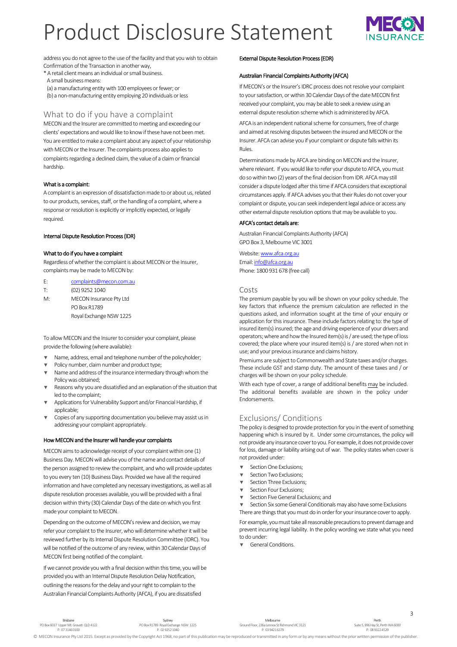# Product Disclosure Statement



address you do not agree to the use of the facility and that you wish to obtain Confirmation of the Transaction in another way,

\* A retail client means an individual or small business.

A small business means:

- (a) a manufacturing entity with 100 employees or fewer; or
- (b) a non-manufacturing entity employing 20 individuals or less

# What to do if you have a complaint

MECON and the Insurer are committed to meeting and exceeding our clients' expectations and would like to know if these have not been met. You are entitled to make a complaint about any aspect of your relationship with MECON or the Insurer. The complaints process also applies to complaints regarding a declined claim, the value of a claim or financial hardship.

#### What is a complaint:

A complaint is an expression of dissatisfaction made to or about us, related to our products, services, staff, or the handling of a complaint, where a response or resolution is explicitly or implicitly expected, or legally required.

#### Internal Dispute Resolution Process (IDR)

#### What to do if you have a complaint

Regardless of whether the complaint is about MECON or the Insurer, complaints may be made to MECON by:

| F: | complaints@mecon.com.au |
|----|-------------------------|
|    |                         |

T: (02) 9252 1040 M: MECON Insurance Pty Ltd PO Box R1789

To allow MECON and the Insurer to consider your complaint, please provide the following (where available):

- ▼ Name, address, email and telephone number of the policyholder;
- Policy number, claim number and product type:

Royal Exchange NSW 1225

- ▼ Name and address of the insurance intermediary through whom the Policy was obtained;
- ▼ Reasons why you are dissatisfied and an explanation of the situation that led to the complaint;
- ▼ Applications for Vulnerability Support and/or Financial Hardship, if applicable;
- Copies of any supporting documentation you believe may assist us in addressing your complaint appropriately.

#### How MECON and the Insurer will handle your complaints

MECON aims to acknowledge receipt of your complaint within one (1) Business Day. MECON will advise you of the name and contact details of the person assigned to review the complaint, and who will provide updates to you every ten (10) Business Days. Provided we have all the required information and have completed any necessary investigations, as well as all dispute resolution processes available, you will be provided with a final decision within thirty (30) Calendar Days of the date on which you first made your complaint to MECON.

Depending on the outcome of MECON's review and decision, we may refer your complaint to the Insurer, who will determine whether it will be reviewed further by its Internal Dispute Resolution Committee (IDRC). You will be notified of the outcome of any review, within 30 Calendar Days of MECON first being notified of the complaint.

If we cannot provide you with a final decision within this time, you will be provided you with an Internal Dispute Resolution Delay Notification, outlining the reasons for the delay and your right to complain to the Australian Financial Complaints Authority (AFCA), if you are dissatisfied

#### External Dispute Resolution Process (EDR)

#### Australian Financial Complaints Authority (AFCA)

If MECON's or the Insurer's IDRC process does not resolve your complaint to your satisfaction, or within 30 Calendar Days of the date MECON first received your complaint, you may be able to seek a review using an external dispute resolution scheme which is administered by AFCA.

AFCA is an independent national scheme for consumers, free of charge and aimed at resolving disputes between the insured and MECON or the Insurer. AFCA can advise you if your complaint or dispute falls within its Rules.

Determinations made by AFCA are binding on MECON and the Insurer, where relevant. If you would like to refer your dispute to AFCA, you must do so within two (2) years of the final decision from IDR. AFCA may still consider a dispute lodged after this time if AFCA considers that exceptional circumstances apply. If AFCA advises you that their Rules do not cover your complaint or dispute, you can seek independent legal advice or access any other external dispute resolution options that may be available to you.

#### AFCA's contact details are:

Australian Financial Complaints Authority (AFCA) GPO Box 3, Melbourne VIC 3001

Website[: www.afca.org.au](http://www.afca.org.au/) Email[: info@afca.org.au](mailto:info@afca.org.au) Phone: 1800 931 678 (free call)

#### Costs

The premium payable by you will be shown on your policy schedule. The key factors that influence the premium calculation are reflected in the questions asked, and information sought at the time of your enquiry or application for this insurance. These include factors relating to: the type of insured item(s) insured; the age and driving experience of your drivers and operators; where and how the Insured item(s) is / are used; the type of loss covered; the place where your insured item(s) is / are stored when not in use; and your previous insurance and claims history.

Premiums are subject to Commonwealth and State taxes and/or charges. These include GST and stamp duty. The amount of these taxes and / or charges will be shown on your policy schedule.

With each type of cover, a range of additional benefits may be included. The additional benefits available are shown in the policy under Endorsements.

#### Exclusions/ Conditions

The policy is designed to provide protection for you in the event of something happening which is insured by it. Under some circumstances, the policy will not provide any insurance cover to you. For example, it does not provide cover for loss, damage or liability arising out of war. The policy states when cover is not provided under:

- ▼ Section One Exclusions;
- Section Two Exclusions;
- ▼ Section Three Exclusions;
- ▼ Section Four Exclusions;
- ▼ Section Five General Exclusions; and

Section Six some General Conditionals may also have some Exclusions There are things that you must do in order for your insurance cover to apply.

For example, you must take all reasonable precautions to prevent damage and prevent incurring legal liability. In the policy wording we state what you need to do under:

**General Conditions** 

Brisbane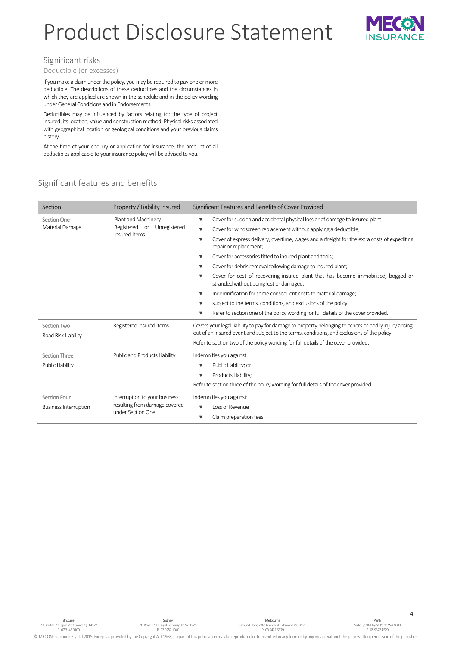# Product Disclosure Statement



# Significant risks

Deductible (or excesses)

If you make a claim under the policy, you may be required to pay one or more deductible. The descriptions of these deductibles and the circumstances in which they are applied are shown in the schedule and in the policy wording under General Conditions and in Endorsements.

Deductibles may be influenced by factors relating to: the type of project insured; its location, value and construction method. Physical risks associated with geographical location or geological conditions and your previous claims history.

At the time of your enquiry or application for insurance, the amount of all deductibles applicable to your insurance policy will be advised to you.

# Significant features and benefits

| Section                            | Property / Liability Insured                                                        | Significant Features and Benefits of Cover Provided                                                                                                                                                   |
|------------------------------------|-------------------------------------------------------------------------------------|-------------------------------------------------------------------------------------------------------------------------------------------------------------------------------------------------------|
| Section One<br>Material Damage     | Plant and Machinery<br>Registered or Unregistered<br>Insured Items                  | Cover for sudden and accidental physical loss or of damage to insured plant;<br>▼<br>Cover for windscreen replacement without applying a deductible;<br>▼                                             |
|                                    |                                                                                     | Cover of express delivery, overtime, wages and airfreight for the extra costs of expediting<br>▼<br>repair or replacement;                                                                            |
|                                    |                                                                                     | Cover for accessories fitted to insured plant and tools;                                                                                                                                              |
|                                    |                                                                                     | Cover for debris removal following damage to insured plant;                                                                                                                                           |
|                                    |                                                                                     | Cover for cost of recovering insured plant that has become immobilised, bogged or<br>▼<br>stranded without being lost or damaged;                                                                     |
|                                    |                                                                                     | Indemnification for some consequent costs to material damage;<br>▼                                                                                                                                    |
|                                    |                                                                                     | subject to the terms, conditions, and exclusions of the policy.<br>▼                                                                                                                                  |
|                                    |                                                                                     | Refer to section one of the policy wording for full details of the cover provided.                                                                                                                    |
| Section Two<br>Road Risk Liability | Registered insured items                                                            | Covers your legal liability to pay for damage to property belonging to others or bodily injury arising<br>out of an insured event and subject to the terms, conditions, and exclusions of the policy. |
|                                    |                                                                                     | Refer to section two of the policy wording for full details of the cover provided.                                                                                                                    |
| <b>Section Three</b>               | Public and Products Liability                                                       | Indemnifies you against:                                                                                                                                                                              |
| Public Liability                   |                                                                                     | Public Liability; or<br>▼                                                                                                                                                                             |
|                                    |                                                                                     | Products Liability;<br>▼                                                                                                                                                                              |
|                                    |                                                                                     | Refer to section three of the policy wording for full details of the cover provided.                                                                                                                  |
| Section Four                       | Interruption to your business<br>resulting from damage covered<br>under Section One | Indemnifies you against:                                                                                                                                                                              |
| <b>Business Interruption</b>       |                                                                                     | Loss of Revenue                                                                                                                                                                                       |
|                                    |                                                                                     | Claim preparation fees                                                                                                                                                                                |

Brisbane PO Box 6037 Upper Mt. Gravatt QLD 4122 P. 07 3146 0100 4

© MECON Insurance Pty Ltd 2015. Except as provided by the Copyright Act 1968, no part of this publication may be reproduced or transmitted in any form or by any means without the prior written permission of the publisher.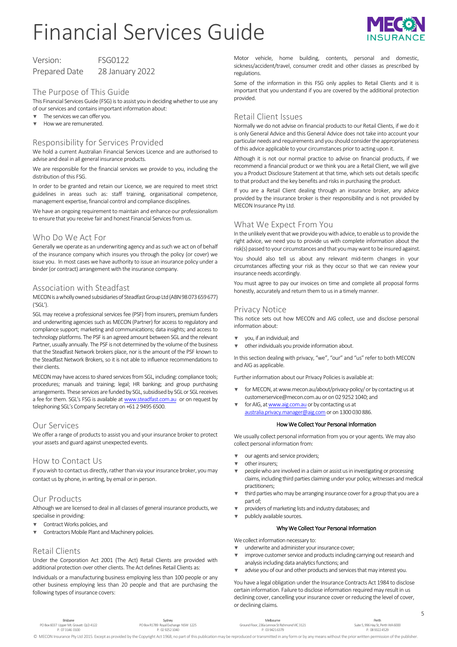# Financial Services Guide



Version: FSG0122

# Prepared Date 28 January 2022

# The Purpose of This Guide

This Financial Services Guide (FSG) is to assist you in deciding whether to use any of our services and contains important information about:

- The services we can offer you.
- ▼ How we are remunerated.

### Responsibility for Services Provided

We hold a current Australian Financial Services Licence and are authorised to advise and deal in all general insurance products.

We are responsible for the financial services we provide to you, including the distribution of this FSG.

In order to be granted and retain our Licence, we are required to meet strict guidelines in areas such as: staff training, organisational competence, management expertise, financial control and compliance disciplines.

We have an ongoing requirement to maintain and enhance our professionalism to ensure that you receive fair and honest Financial Services from us.

# Who Do We Act For

Generally we operate as an underwriting agency and as such we act on of behalf of the insurance company which insures you through the policy (or cover) we issue you. In most cases we have authority to issue an insurance policy under a binder (or contract) arrangement with the insurance company.

#### Association with Steadfast

#### MECON is a wholly owned subsidiaries of Steadfast Group Ltd (ABN 98 073 659 677) ('SGL').

SGL may receive a professional services fee (PSF) from insurers, premium funders and underwriting agencies such as MECON (Partner) for access to regulatory and compliance support; marketing and communications; data insights; and access to technology platforms. The PSF is an agreed amount between SGL and the relevant Partner, usually annually. The PSF is not determined by the volume of the business that the Steadfast Network brokers place, nor is the amount of the PSF known to the Steadfast Network Brokers, so it is not able to influence recommendations to their clients.

MECON may have access to shared services from SGL, including: compliance tools; procedures; manuals and training; legal; HR banking; and group purchasing arrangements. These services are funded by SGL, subsidised by SGL or SGL receives a fee for them. SGL's FSG is available a[t www.steadfast.com.au](http://www.steadfast.com.au/) or on request by telephoning SGL's Company Secretary on +61 2 9495 6500.

#### Our Services

We offer a range of products to assist you and your insurance broker to protect your assets and guard against unexpected events.

#### How to Contact Us

If you wish to contact us directly, rather than via your insurance broker, you may contact us by phone, in writing, by email or in person.

#### Our Products

Although we are licensed to deal in all classes of general insurance products, we specialise in providing:

- ▼ Contract Works policies, and
- Contractors Mobile Plant and Machinery policies.

#### Retail Clients

Under the Corporation Act 2001 (The Act) Retail Clients are provided with additional protection over other clients. The Act defines Retail Clients as:

Individuals or a manufacturing business employing less than 100 people or any other business employing less than 20 people and that are purchasing the following types of insurance covers:

Motor vehicle, home building, contents, personal and domestic, sickness/accident/travel, consumer credit and other classes as prescribed by regulations.

Some of the information in this FSG only applies to Retail Clients and it is important that you understand if you are covered by the additional protection provided.

### Retail Client Issues

Normally we do not advise on financial products to our Retail Clients, if we do it is only General Advice and this General Advice does not take into account your particular needs and requirements and you should consider the appropriateness of this advice applicable to your circumstances prior to acting upon it.

Although it is not our normal practice to advise on financial products, if we recommend a financial product or we think you are a Retail Client, we will give you a Product Disclosure Statement at that time, which sets out details specific to that product and the key benefits and risks in purchasing the product.

If you are a Retail Client dealing through an insurance broker, any advice provided by the insurance broker is their responsibility and is not provided by MECON Insurance Pty Ltd.

# What We Expect From You

In the unlikely event that we provide you with advice, to enable us to provide the right advice, we need you to provide us with complete information about the risk(s) passed to your circumstances and that you may want to be insured against.

You should also tell us about any relevant mid-term changes in your circumstances affecting your risk as they occur so that we can review your insurance needs accordingly.

You must agree to pay our invoices on time and complete all proposal forms honestly, accurately and return them to us in a timely manner.

#### Privacy Notice

This notice sets out how MECON and AIG collect, use and disclose personal information about:

- vou, if an individual; and
- other individuals you provide information about.

In this section dealing with privacy, "we", "our" and "us" refer to both MECON and AIG as applicable.

Further information about our Privacy Policies is available at:

- ▼ for MECON, at www.mecon.au/about/privacy-policy/ or by contacting us at customerservice@mecon.com.au or on 02 9252 1040; and
- for AIG, a[t www.aig.com.au](http://www.aig.com.au/) or by contacting us at [australia.privacy.manager@aig.como](mailto:australia.privacy.manager@aig.com)r on 1300 030 886.

#### How We Collect Your Personal Information

We usually collect personal information from you or your agents. We may also collect personal information from:

- ▼ our agents and service providers;
- other insurers:
- ▼ people who are involved in a claim or assist us in investigating or processing claims, including third parties claiming under your policy, witnesses and medical practitioners;
- third parties who may be arranging insurance cover for a group that you are a part of;
- providers of marketing lists and industry databases; and
- publicly available sources.

#### Why We Collect Your Personal Information

We collect information necessary to:

- underwrite and administer your insurance cover;
- ▼ improve customer service and products including carrying out research and analysis including data analytics functions; and
- ▼ advise you of our and other products and services that may interest you.

You have a legal obligation under the Insurance Contracts Act 1984 to disclose certain information. Failure to disclose information required may result in us declining cover, cancelling your insurance cover or reducing the level of cover, or declining claims.